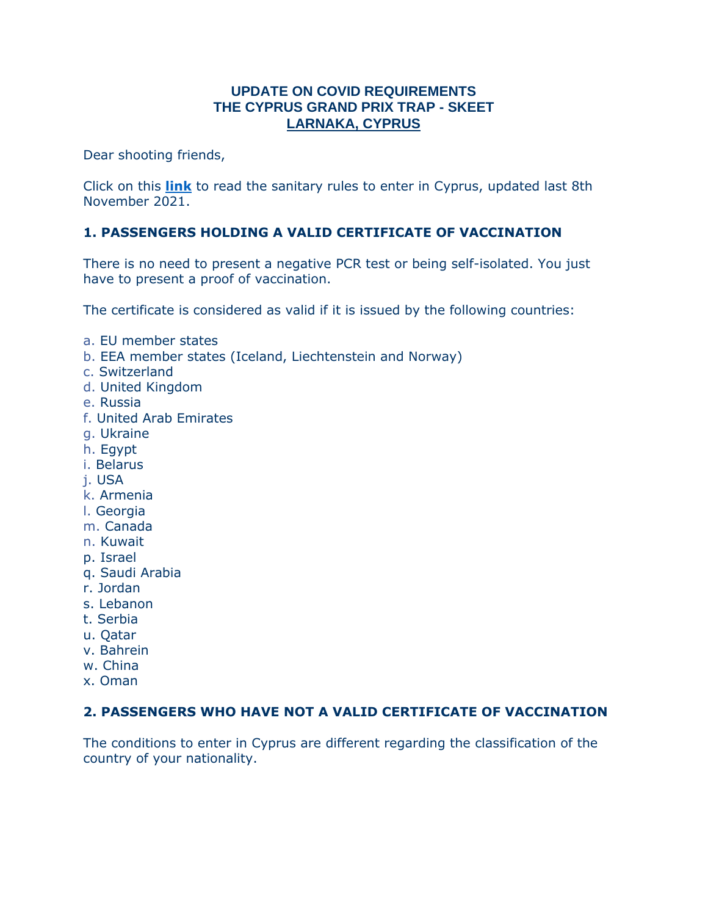## **UPDATE ON COVID REQUIREMENTS THE CYPRUS GRAND PRIX TRAP - SKEET LARNAKA, CYPRUS**

Dear shooting friends,

Click on this **[link](https://www.pio.gov.cy/coronavirus/uploads/08112021_epidemiological_EN.pdf)** to read the sanitary rules to enter in Cyprus, updated last 8th November 2021.

## **1. PASSENGERS HOLDING A VALID CERTIFICATE OF VACCINATION**

There is no need to present a negative PCR test or being self-isolated. You just have to present a proof of vaccination.

The certificate is considered as valid if it is issued by the following countries:

- a. EU member states
- b. EEA member states (Iceland, Liechtenstein and Norway)
- c. Switzerland
- d. United Kingdom
- e. Russia
- f. United Arab Emirates
- g. Ukraine
- h. Egypt
- i. Belarus
- j. USA
- k. Armenia
- l. Georgia
- m. Canada
- n. Kuwait
- p. Israel
- q. Saudi Arabia
- r. Jordan
- s. Lebanon
- t. Serbia
- u. Qatar
- v. Bahrein
- w. China
- x. Oman

## **2. PASSENGERS WHO HAVE NOT A VALID CERTIFICATE OF VACCINATION**

The conditions to enter in Cyprus are different regarding the classification of the country of your nationality.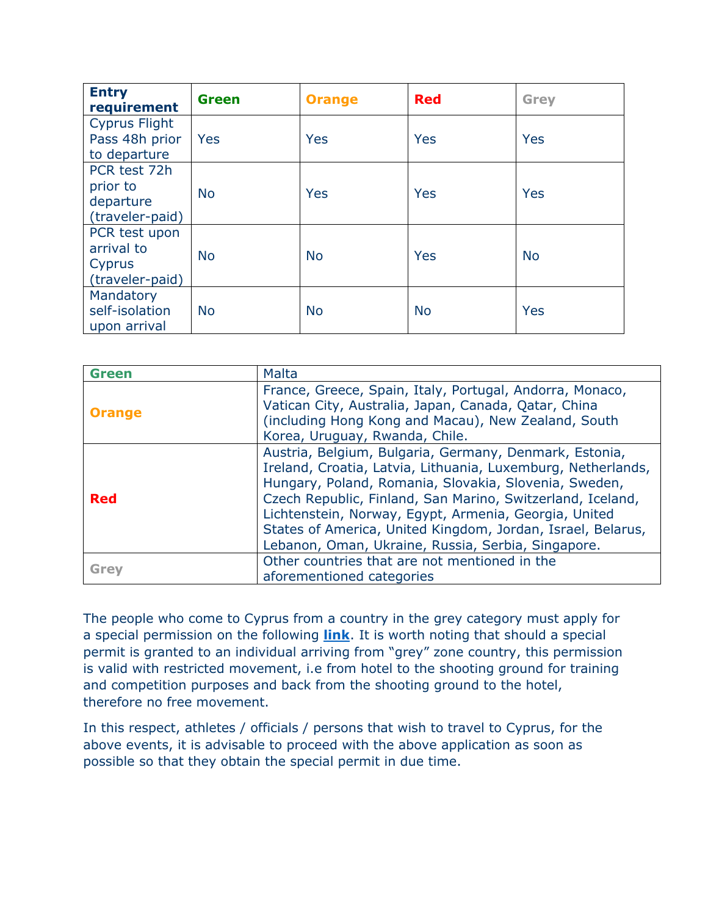| <b>Entry</b><br>requirement                              | <b>Green</b> | <b>Orange</b> | <b>Red</b> | Grey      |
|----------------------------------------------------------|--------------|---------------|------------|-----------|
| <b>Cyprus Flight</b><br>Pass 48h prior<br>to departure   | <b>Yes</b>   | Yes           | Yes        | Yes       |
| PCR test 72h<br>prior to<br>departure<br>(traveler-paid) | <b>No</b>    | Yes           | Yes        | Yes       |
| PCR test upon<br>arrival to<br>Cyprus<br>(traveler-paid) | <b>No</b>    | <b>No</b>     | Yes        | <b>No</b> |
| Mandatory<br>self-isolation<br>upon arrival              | <b>No</b>    | <b>No</b>     | <b>No</b>  | Yes       |

| <b>Green</b>  | <b>Malta</b>                                                                                                                                                                                                                                                                                                                                                                                                                |  |
|---------------|-----------------------------------------------------------------------------------------------------------------------------------------------------------------------------------------------------------------------------------------------------------------------------------------------------------------------------------------------------------------------------------------------------------------------------|--|
| <b>Orange</b> | France, Greece, Spain, Italy, Portugal, Andorra, Monaco,<br>Vatican City, Australia, Japan, Canada, Qatar, China<br>(including Hong Kong and Macau), New Zealand, South<br>Korea, Uruguay, Rwanda, Chile.                                                                                                                                                                                                                   |  |
| <b>Red</b>    | Austria, Belgium, Bulgaria, Germany, Denmark, Estonia,<br>Ireland, Croatia, Latvia, Lithuania, Luxemburg, Netherlands,<br>Hungary, Poland, Romania, Slovakia, Slovenia, Sweden,<br>Czech Republic, Finland, San Marino, Switzerland, Iceland,<br>Lichtenstein, Norway, Egypt, Armenia, Georgia, United<br>States of America, United Kingdom, Jordan, Israel, Belarus,<br>Lebanon, Oman, Ukraine, Russia, Serbia, Singapore. |  |
| <b>Grey</b>   | Other countries that are not mentioned in the<br>aforementioned categories                                                                                                                                                                                                                                                                                                                                                  |  |

The people who come to Cyprus from a country in the grey category must apply for a special permission on the following **[link](https://cyprusflightpass.gov.cy/en/special-permission)**. It is worth noting that should a special permit is granted to an individual arriving from "grey" zone country, this permission is valid with restricted movement, i.e from hotel to the shooting ground for training and competition purposes and back from the shooting ground to the hotel, therefore no free movement.

In this respect, athletes / officials / persons that wish to travel to Cyprus, for the above events, it is advisable to proceed with the above application as soon as possible so that they obtain the special permit in due time.